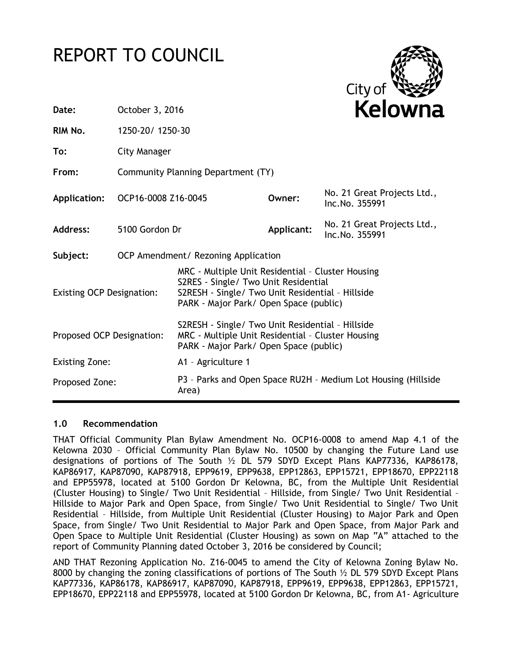# REPORT TO COUNCIL



| Date:                            | October 3, 2016                    |                                                                                                                                                                                         |            | Kelowna                                       |  |
|----------------------------------|------------------------------------|-----------------------------------------------------------------------------------------------------------------------------------------------------------------------------------------|------------|-----------------------------------------------|--|
| RIM No.                          | 1250-20/1250-30                    |                                                                                                                                                                                         |            |                                               |  |
| To:                              | City Manager                       |                                                                                                                                                                                         |            |                                               |  |
| From:                            | Community Planning Department (TY) |                                                                                                                                                                                         |            |                                               |  |
| <b>Application:</b>              | OCP16-0008 Z16-0045                |                                                                                                                                                                                         | Owner:     | No. 21 Great Projects Ltd.,<br>Inc.No. 355991 |  |
| <b>Address:</b>                  | 5100 Gordon Dr                     |                                                                                                                                                                                         | Applicant: | No. 21 Great Projects Ltd.,<br>Inc.No. 355991 |  |
| Subject:                         |                                    | OCP Amendment/ Rezoning Application                                                                                                                                                     |            |                                               |  |
| <b>Existing OCP Designation:</b> |                                    | MRC - Multiple Unit Residential - Cluster Housing<br>S2RES - Single/ Two Unit Residential<br>S2RESH - Single/ Two Unit Residential - Hillside<br>PARK - Major Park/ Open Space (public) |            |                                               |  |
| Proposed OCP Designation:        |                                    | S2RESH - Single/ Two Unit Residential - Hillside<br>MRC - Multiple Unit Residential - Cluster Housing<br>PARK - Major Park/ Open Space (public)                                         |            |                                               |  |
| <b>Existing Zone:</b>            |                                    | A1 - Agriculture 1                                                                                                                                                                      |            |                                               |  |
| Proposed Zone:                   |                                    | P3 - Parks and Open Space RU2H - Medium Lot Housing (Hillside<br>Area)                                                                                                                  |            |                                               |  |

#### **1.0 Recommendation**

THAT Official Community Plan Bylaw Amendment No. OCP16-0008 to amend Map 4.1 of the Kelowna 2030 – Official Community Plan Bylaw No. 10500 by changing the Future Land use designations of portions of The South ½ DL 579 SDYD Except Plans KAP77336, KAP86178, KAP86917, KAP87090, KAP87918, EPP9619, EPP9638, EPP12863, EPP15721, EPP18670, EPP22118 and EPP55978, located at 5100 Gordon Dr Kelowna, BC, from the Multiple Unit Residential (Cluster Housing) to Single/ Two Unit Residential – Hillside, from Single/ Two Unit Residential – Hillside to Major Park and Open Space, from Single/ Two Unit Residential to Single/ Two Unit Residential – Hillside, from Multiple Unit Residential (Cluster Housing) to Major Park and Open Space, from Single/ Two Unit Residential to Major Park and Open Space, from Major Park and Open Space to Multiple Unit Residential (Cluster Housing) as sown on Map "A" attached to the report of Community Planning dated October 3, 2016 be considered by Council;

AND THAT Rezoning Application No. Z16-0045 to amend the City of Kelowna Zoning Bylaw No. 8000 by changing the zoning classifications of portions of The South ½ DL 579 SDYD Except Plans KAP77336, KAP86178, KAP86917, KAP87090, KAP87918, EPP9619, EPP9638, EPP12863, EPP15721, EPP18670, EPP22118 and EPP55978, located at 5100 Gordon Dr Kelowna, BC, from A1- Agriculture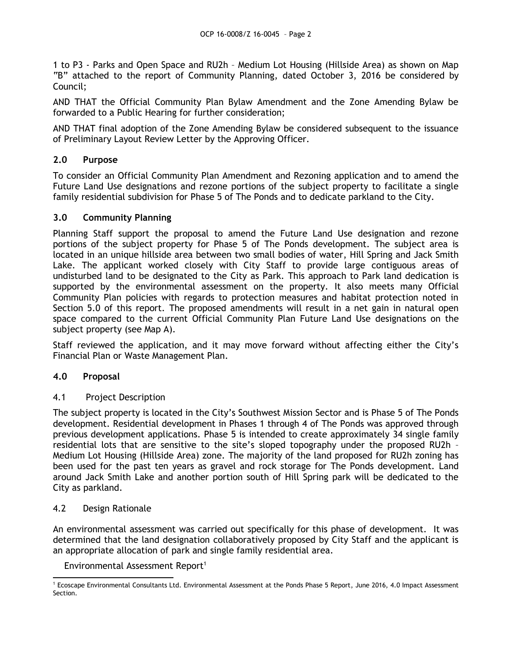1 to P3 - Parks and Open Space and RU2h – Medium Lot Housing (Hillside Area) as shown on Map "B" attached to the report of Community Planning, dated October 3, 2016 be considered by Council;

AND THAT the Official Community Plan Bylaw Amendment and the Zone Amending Bylaw be forwarded to a Public Hearing for further consideration;

AND THAT final adoption of the Zone Amending Bylaw be considered subsequent to the issuance of Preliminary Layout Review Letter by the Approving Officer.

# **2.0 Purpose**

To consider an Official Community Plan Amendment and Rezoning application and to amend the Future Land Use designations and rezone portions of the subject property to facilitate a single family residential subdivision for Phase 5 of The Ponds and to dedicate parkland to the City.

## **3.0 Community Planning**

Planning Staff support the proposal to amend the Future Land Use designation and rezone portions of the subject property for Phase 5 of The Ponds development. The subject area is located in an unique hillside area between two small bodies of water, Hill Spring and Jack Smith Lake. The applicant worked closely with City Staff to provide large contiguous areas of undisturbed land to be designated to the City as Park. This approach to Park land dedication is supported by the environmental assessment on the property. It also meets many Official Community Plan policies with regards to protection measures and habitat protection noted in Section 5.0 of this report. The proposed amendments will result in a net gain in natural open space compared to the current Official Community Plan Future Land Use designations on the subject property (see Map A).

Staff reviewed the application, and it may move forward without affecting either the City's Financial Plan or Waste Management Plan.

# **4.0 Proposal**

## 4.1 Project Description

The subject property is located in the City's Southwest Mission Sector and is Phase 5 of The Ponds development. Residential development in Phases 1 through 4 of The Ponds was approved through previous development applications. Phase 5 is intended to create approximately 34 single family residential lots that are sensitive to the site's sloped topography under the proposed RU2h – Medium Lot Housing (Hillside Area) zone. The majority of the land proposed for RU2h zoning has been used for the past ten years as gravel and rock storage for The Ponds development. Land around Jack Smith Lake and another portion south of Hill Spring park will be dedicated to the City as parkland.

# 4.2 Design Rationale

An environmental assessment was carried out specifically for this phase of development. It was determined that the land designation collaboratively proposed by City Staff and the applicant is an appropriate allocation of park and single family residential area.

Environmental Assessment Report<sup>1</sup>

<sup>-</sup>1 Ecoscape Environmental Consultants Ltd. Environmental Assessment at the Ponds Phase 5 Report, June 2016, 4.0 Impact Assessment Section.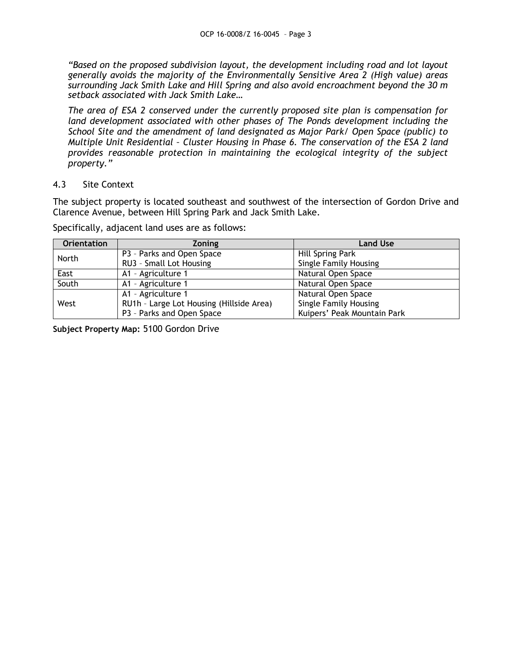*"Based on the proposed subdivision layout, the development including road and lot layout generally avoids the majority of the Environmentally Sensitive Area 2 (High value) areas surrounding Jack Smith Lake and Hill Spring and also avoid encroachment beyond the 30 m setback associated with Jack Smith Lake…*

*The area of ESA 2 conserved under the currently proposed site plan is compensation for land development associated with other phases of The Ponds development including the School Site and the amendment of land designated as Major Park/ Open Space (public) to Multiple Unit Residential – Cluster Housing in Phase 6. The conservation of the ESA 2 land provides reasonable protection in maintaining the ecological integrity of the subject property."*

## 4.3 Site Context

The subject property is located southeast and southwest of the intersection of Gordon Drive and Clarence Avenue, between Hill Spring Park and Jack Smith Lake.

| <b>Orientation</b> | Zoning                                   | <b>Land Use</b>              |
|--------------------|------------------------------------------|------------------------------|
| North              | P3 - Parks and Open Space                | Hill Spring Park             |
|                    | RU3 - Small Lot Housing                  | <b>Single Family Housing</b> |
| East               | A1 - Agriculture 1                       | Natural Open Space           |
| South              | A1 - Agriculture 1                       | Natural Open Space           |
| West               | A1 - Agriculture 1                       | Natural Open Space           |
|                    | RU1h - Large Lot Housing (Hillside Area) | <b>Single Family Housing</b> |
|                    | P3 - Parks and Open Space                | Kuipers' Peak Mountain Park  |

Specifically, adjacent land uses are as follows:

**Subject Property Map:** 5100 Gordon Drive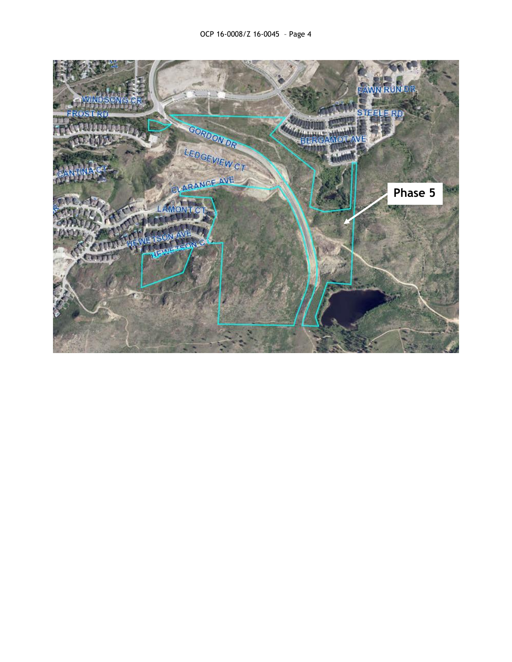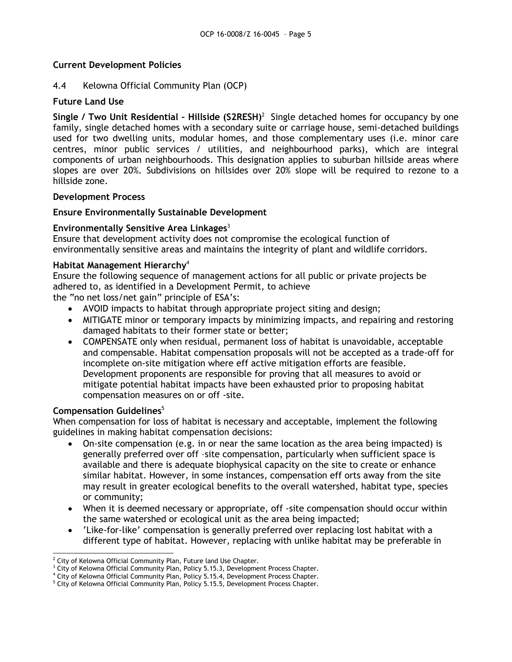## **Current Development Policies**

## 4.4 Kelowna Official Community Plan (OCP)

## **Future Land Use**

Single / Two Unit Residential - Hillside (S2RESH)<sup>2</sup> Single detached homes for occupancy by one family, single detached homes with a secondary suite or carriage house, semi-detached buildings used for two dwelling units, modular homes, and those complementary uses (i.e. minor care centres, minor public services / utilities, and neighbourhood parks), which are integral components of urban neighbourhoods. This designation applies to suburban hillside areas where slopes are over 20%. Subdivisions on hillsides over 20% slope will be required to rezone to a hillside zone.

#### **Development Process**

#### **Ensure Environmentally Sustainable Development**

#### **Environmentally Sensitive Area Linkages**<sup>3</sup>

Ensure that development activity does not compromise the ecological function of environmentally sensitive areas and maintains the integrity of plant and wildlife corridors.

#### **Habitat Management Hierarchy**<sup>4</sup>

Ensure the following sequence of management actions for all public or private projects be adhered to, as identified in a Development Permit, to achieve the "no net loss/net gain" principle of ESA's:

- AVOID impacts to habitat through appropriate project siting and design;
- MITIGATE minor or temporary impacts by minimizing impacts, and repairing and restoring damaged habitats to their former state or better;
- COMPENSATE only when residual, permanent loss of habitat is unavoidable, acceptable and compensable. Habitat compensation proposals will not be accepted as a trade-off for incomplete on-site mitigation where eff active mitigation efforts are feasible. Development proponents are responsible for proving that all measures to avoid or mitigate potential habitat impacts have been exhausted prior to proposing habitat compensation measures on or off -site.

#### **Compensation Guidelines**<sup>5</sup>

When compensation for loss of habitat is necessary and acceptable, implement the following guidelines in making habitat compensation decisions:

- On-site compensation (e.g. in or near the same location as the area being impacted) is generally preferred over off –site compensation, particularly when sufficient space is available and there is adequate biophysical capacity on the site to create or enhance similar habitat. However, in some instances, compensation eff orts away from the site may result in greater ecological benefits to the overall watershed, habitat type, species or community;
- When it is deemed necessary or appropriate, off -site compensation should occur within the same watershed or ecological unit as the area being impacted;
- 'Like-for-like' compensation is generally preferred over replacing lost habitat with a different type of habitat. However, replacing with unlike habitat may be preferable in

<sup>-</sup> $2$  City of Kelowna Official Community Plan, Future land Use Chapter.

<sup>&</sup>lt;sup>3</sup> City of Kelowna Official Community Plan, Policy 5.15.3, Development Process Chapter.

<sup>4</sup> City of Kelowna Official Community Plan, Policy 5.15.4, Development Process Chapter.

<sup>&</sup>lt;sup>5</sup> City of Kelowna Official Community Plan, Policy 5.15.5, Development Process Chapter.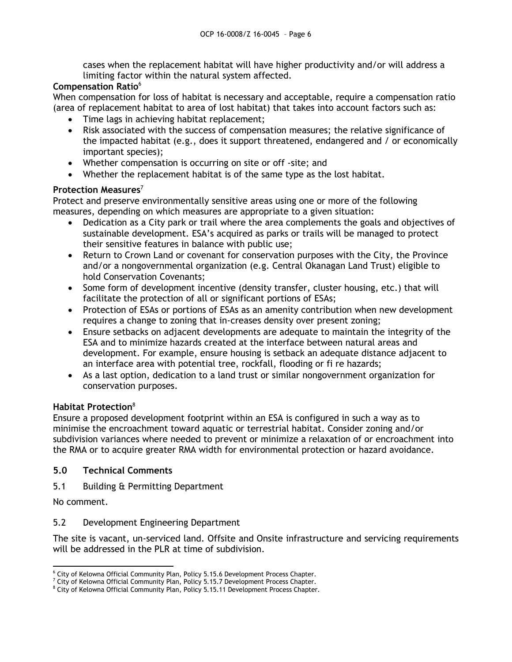cases when the replacement habitat will have higher productivity and/or will address a limiting factor within the natural system affected.

# **Compensation Ratio**<sup>6</sup>

When compensation for loss of habitat is necessary and acceptable, require a compensation ratio (area of replacement habitat to area of lost habitat) that takes into account factors such as:

- Time lags in achieving habitat replacement;
- Risk associated with the success of compensation measures; the relative significance of the impacted habitat (e.g., does it support threatened, endangered and / or economically important species);
- Whether compensation is occurring on site or off -site; and
- Whether the replacement habitat is of the same type as the lost habitat.

# **Protection Measures**<sup>7</sup>

Protect and preserve environmentally sensitive areas using one or more of the following measures, depending on which measures are appropriate to a given situation:

- Dedication as a City park or trail where the area complements the goals and objectives of sustainable development. ESA's acquired as parks or trails will be managed to protect their sensitive features in balance with public use;
- Return to Crown Land or covenant for conservation purposes with the City, the Province and/or a nongovernmental organization (e.g. Central Okanagan Land Trust) eligible to hold Conservation Covenants;
- Some form of development incentive (density transfer, cluster housing, etc.) that will facilitate the protection of all or significant portions of ESAs;
- Protection of ESAs or portions of ESAs as an amenity contribution when new development requires a change to zoning that in-creases density over present zoning;
- Ensure setbacks on adjacent developments are adequate to maintain the integrity of the ESA and to minimize hazards created at the interface between natural areas and development. For example, ensure housing is setback an adequate distance adjacent to an interface area with potential tree, rockfall, flooding or fi re hazards;
- As a last option, dedication to a land trust or similar nongovernment organization for conservation purposes.

# **Habitat Protection** 8

Ensure a proposed development footprint within an ESA is configured in such a way as to minimise the encroachment toward aquatic or terrestrial habitat. Consider zoning and/or subdivision variances where needed to prevent or minimize a relaxation of or encroachment into the RMA or to acquire greater RMA width for environmental protection or hazard avoidance.

# **5.0 Technical Comments**

5.1 Building & Permitting Department

No comment.

5.2 Development Engineering Department

The site is vacant, un-serviced land. Offsite and Onsite infrastructure and servicing requirements will be addressed in the PLR at time of subdivision.

 $\overline{a}$ <sup>6</sup> City of Kelowna Official Community Plan, Policy 5.15.6 Development Process Chapter.

 $7$  City of Kelowna Official Community Plan, Policy 5.15.7 Development Process Chapter.

<sup>8</sup> City of Kelowna Official Community Plan, Policy 5.15.11 Development Process Chapter.